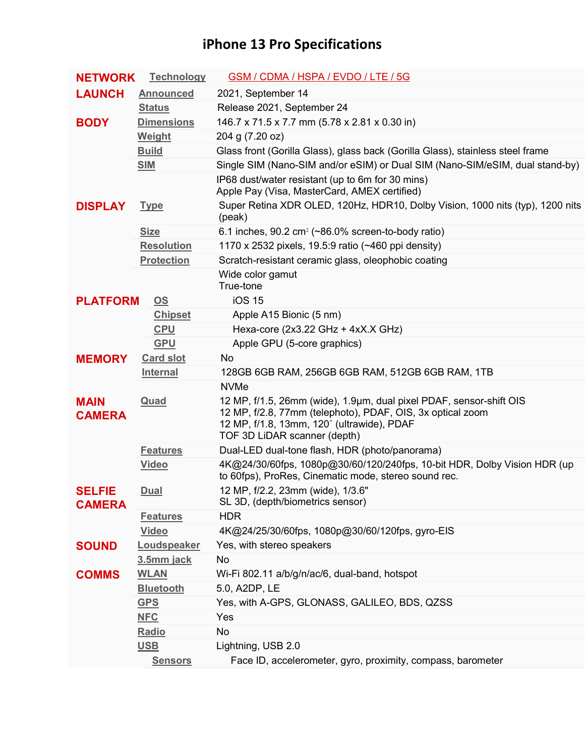## **iPhone 13 Pro Specifications**

| <b>NETWORK</b>                 | <b>Technology</b>         | GSM / CDMA / HSPA / EVDO / LTE / 5G                                                                                                                                                                                            |
|--------------------------------|---------------------------|--------------------------------------------------------------------------------------------------------------------------------------------------------------------------------------------------------------------------------|
| <b>LAUNCH</b>                  | <b>Announced</b>          | 2021, September 14                                                                                                                                                                                                             |
|                                | <b>Status</b>             | Release 2021, September 24                                                                                                                                                                                                     |
| <b>BODY</b>                    | <b>Dimensions</b>         | 146.7 x 71.5 x 7.7 mm (5.78 x 2.81 x 0.30 in)                                                                                                                                                                                  |
|                                | <b>Weight</b>             | 204 g (7.20 oz)                                                                                                                                                                                                                |
|                                | <b>Build</b>              | Glass front (Gorilla Glass), glass back (Gorilla Glass), stainless steel frame                                                                                                                                                 |
|                                | <b>SIM</b>                | Single SIM (Nano-SIM and/or eSIM) or Dual SIM (Nano-SIM/eSIM, dual stand-by)                                                                                                                                                   |
|                                |                           | IP68 dust/water resistant (up to 6m for 30 mins)<br>Apple Pay (Visa, MasterCard, AMEX certified)                                                                                                                               |
| <b>DISPLAY</b>                 | <b>Type</b>               | Super Retina XDR OLED, 120Hz, HDR10, Dolby Vision, 1000 nits (typ), 1200 nits<br>(peak)                                                                                                                                        |
|                                | <b>Size</b>               | 6.1 inches, 90.2 cm <sup>2</sup> ( $\sim$ 86.0% screen-to-body ratio)                                                                                                                                                          |
|                                | <b>Resolution</b>         | 1170 x 2532 pixels, 19.5:9 ratio (~460 ppi density)                                                                                                                                                                            |
|                                | <b>Protection</b>         | Scratch-resistant ceramic glass, oleophobic coating                                                                                                                                                                            |
|                                |                           | Wide color gamut<br>True-tone<br><b>iOS 15</b>                                                                                                                                                                                 |
| <b>PLATFORM</b>                | $\underline{\mathsf{OS}}$ |                                                                                                                                                                                                                                |
|                                | <b>Chipset</b>            | Apple A15 Bionic (5 nm)                                                                                                                                                                                                        |
|                                | <b>CPU</b>                | Hexa-core (2x3.22 GHz + 4xX.X GHz)                                                                                                                                                                                             |
|                                | <b>GPU</b>                | Apple GPU (5-core graphics)                                                                                                                                                                                                    |
| <b>MEMORY</b>                  | <b>Card slot</b>          | No                                                                                                                                                                                                                             |
|                                | <b>Internal</b>           | 128GB 6GB RAM, 256GB 6GB RAM, 512GB 6GB RAM, 1TB                                                                                                                                                                               |
| <b>MAIN</b><br><b>CAMERA</b>   | Quad                      | <b>NVMe</b><br>12 MP, f/1.5, 26mm (wide), 1.9µm, dual pixel PDAF, sensor-shift OIS<br>12 MP, f/2.8, 77mm (telephoto), PDAF, OIS, 3x optical zoom<br>12 MP, f/1.8, 13mm, 120° (ultrawide), PDAF<br>TOF 3D LiDAR scanner (depth) |
|                                | <b>Features</b>           | Dual-LED dual-tone flash, HDR (photo/panorama)                                                                                                                                                                                 |
|                                | <b>Video</b>              | 4K@24/30/60fps, 1080p@30/60/120/240fps, 10-bit HDR, Dolby Vision HDR (up<br>to 60fps), ProRes, Cinematic mode, stereo sound rec.                                                                                               |
| <b>SELFIE</b><br><b>CAMERA</b> | <b>Dual</b>               | 12 MP, f/2.2, 23mm (wide), 1/3.6"<br>SL 3D, (depth/biometrics sensor)                                                                                                                                                          |
|                                | <b>Features</b>           | <b>HDR</b>                                                                                                                                                                                                                     |
|                                | <b>Video</b>              | 4K@24/25/30/60fps, 1080p@30/60/120fps, gyro-EIS                                                                                                                                                                                |
| <b>SOUND</b>                   | Loudspeaker               | Yes, with stereo speakers                                                                                                                                                                                                      |
|                                | 3.5mm jack                | No                                                                                                                                                                                                                             |
| <b>COMMS</b>                   | <b>WLAN</b>               | Wi-Fi 802.11 a/b/g/n/ac/6, dual-band, hotspot                                                                                                                                                                                  |
|                                | <b>Bluetooth</b>          | 5.0, A2DP, LE                                                                                                                                                                                                                  |
|                                | <b>GPS</b>                | Yes, with A-GPS, GLONASS, GALILEO, BDS, QZSS                                                                                                                                                                                   |
|                                | <b>NFC</b>                | Yes                                                                                                                                                                                                                            |
|                                | Radio                     | No                                                                                                                                                                                                                             |
|                                | <u>USB</u>                | Lightning, USB 2.0                                                                                                                                                                                                             |
|                                | <b>Sensors</b>            | Face ID, accelerometer, gyro, proximity, compass, barometer                                                                                                                                                                    |